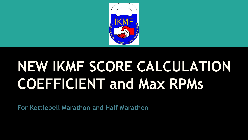

# **NEW IKMF SCORE CALCULATION COEFFICIENT and Max RPMs**

**For Kettlebell Marathon and Half Marathon**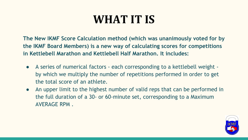# **WHAT IT IS**

**The New IKMF Score Calculation method (which was unanimously voted for by the IKMF Board Members) is a new way of calculating scores for competitions in Kettlebell Marathon and Kettlebell Half Marathon. It includes:**

- A series of numerical factors each corresponding to a kettlebell weight by which we multiply the number of repetitions performed in order to get the total score of an athlete.
- An upper limit to the highest number of valid reps that can be performed in the full duration of a 30- or 60-minute set, corresponding to a Maximum AVERAGE RPM .

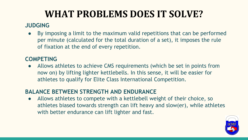# **WHAT PROBLEMS DOES IT SOLVE?**

### **JUDGING**

By imposing a limit to the maximum valid repetitions that can be performed per minute (calculated for the total duration of a set), it imposes the rule of fixation at the end of every repetition.

#### **COMPETING**

● Allows athletes to achieve CMS requirements (which be set in points from now on) by lifting lighter kettlebells. In this sense, it will be easier for athletes to qualify for Elite Class International Competition.

#### **BALANCE BETWEEN STRENGTH AND ENDURANCE**

• Allows athletes to compete with a kettlebell weight of their choice, so athletes biased towards strength can lift heavy and slow(er), while athletes with better endurance can lift lighter and fast.

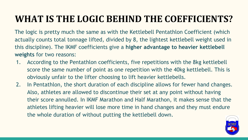## **WHAT IS THE LOGIC BEHIND THE COEFFICIENTS?**

The logic is pretty much the same as with the Kettlebell Pentathlon Coefficient (which actually counts total tonnage lifted, divided by 8, the lightest kettlebell weight used in this discipline). The IKMF coefficients give a **higher advantage to heavier kettlebell weights** for two reasons:

- 1. According to the Pentathlon coefficients, five repetitions with the 8kg kettlebell score the same number of point as one repetition with the 40kg kettlebell. This is obviously unfair to the lifter choosing to lift heavier kettlebells.
- 2. In Pentathlon, the short duration of each discipline allows for fewer hand changes. Also, athletes are allowed to discontinue their set at any point without having their score annulled. In IKMF Marathon and Half Marathon, it makes sense that the athletes lifting heavier will lose more time in hand changes and they must endure the whole duration of without putting the kettlebell down.

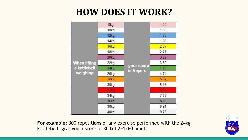### **HOW DOES IT WORK?**

|                                                 | 8kg                |            | 1,00 |
|-------------------------------------------------|--------------------|------------|------|
|                                                 | 10kg               |            | 1,30 |
|                                                 | 12kg               |            | 1,63 |
|                                                 | 14kg               |            | 1,98 |
|                                                 | 16kg               |            | 2,37 |
|                                                 | 18kg               |            | 2,77 |
|                                                 | 20kg               |            | 3,22 |
| <b>When lifting</b><br>a kettlebell<br>weighing | $22$ <sub>kg</sub> |            | 3,69 |
|                                                 | 24kg               | your score | 4,20 |
|                                                 | $26$ kg            | is Reps x  | 4,74 |
|                                                 | 28kg               |            | 5,32 |
|                                                 | 30 <sub>kg</sub>   |            | 5,95 |
|                                                 | 32kg               |            | 6.62 |
|                                                 | 34kg               |            | 7,33 |
|                                                 | 36kg               |            | 8,10 |
|                                                 | 38kg               |            | 8,91 |
|                                                 | 40kg               |            | 9,78 |

**For example:** 300 repetitions of any exercise performed with the 24kg kettlebell, give you a score of 300x4.2=1260 points

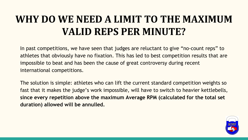# **WHY DO WE NEED A LIMIT TO THE MAXIMUM VALID REPS PER MINUTE?**

In past competitions, we have seen that judges are reluctant to give "no-count reps" to athletes that obviously have no fixation. This has led to best competition results that are impossible to beat and has been the cause of great controversy during recent international competitions.

The solution is simple: athletes who can lift the current standard competition weights so fast that it makes the judge's work impossible, will have to switch to heavier kettlebells, **since every repetition above the maximum Average RPM (calculated for the total set duration) allowed will be annulled.**

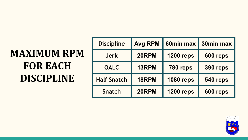# **MAXIMUM RPM FOR EACH DISCIPLINE**

| <b>Discipline</b>  | <b>Avg RPM</b> | 60min max        | 30min max       |
|--------------------|----------------|------------------|-----------------|
| <b>Jerk</b>        | 20RPM          | <b>1200 reps</b> | 600 reps        |
| <b>OALC</b>        | 13RPM          | 780 reps         | <b>390 reps</b> |
| <b>Half Snatch</b> | 18RPM          | <b>1080 reps</b> | 540 reps        |
| <b>Snatch</b>      | 20RPM          | <b>1200 reps</b> | 600 reps        |

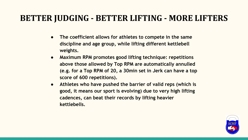### **BETTER JUDGING - BETTER LIFTING - MORE LIFTERS**

- **● The coefficient allows for athletes to compete in the same discipline and age group, while lifting different kettlebell weights.**
- **● Maximum RPM promotes good lifting technique: repetitions above those allowed by Top RPM are automatically annulled (e.g. for a Top RPM of 20, a 30min set in Jerk can have a top score of 600 repetitions).**
- **● Athletes who have pushed the barrier of valid reps (which is good, it means our sport is evolving) due to very high lifting cadences, can beat their records by lifting heavier kettlebells.**

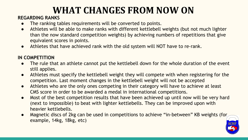## **WHAT CHANGES FROM NOW ON**

#### **REGARDING RANKS**

- The ranking tables requirements will be converted to points.
- Athletes will be able to make ranks with different kettlebell weights (but not much lighter than the now standard competition weights) by achieving numbers of repetitions that give equivalent scores in points.
- Athletes that have achieved rank with the old system will NOT have to re-rank.

#### **IN COMPETITION**

- The rule that an athlete cannot put the kettlebell down for the whole duration of the event still applies.
- Athletes must specify the kettlebell weight they will compete with when registering for the competition. Last moment changes in the kettlebell weight will not be accepted
- Athletes who are the only ones competing in their category will have to achieve at least CMS score in order to be awarded a medal in international competitions.
- Most of the best competition results that have been achieved up until now will be very hard (next to impossible) to beat with lighter kettlebells. They can be improved upon with heavier kettlebells.
- Magnetic discs of 2kg can be used in competitions to achieve "in-between" KB weights (for example, 14kg, 18kg, etc)

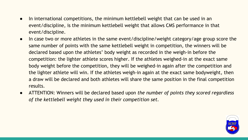- In international competitions, the minimum kettlebell weight that can be used in an event/discipline, is the minimum kettlebell weight that allows CMS performance in that event/discipline.
- In case two or more athletes in the same event/discipline/weight category/age group score the same number of points with the same kettlebell weight in competition, the winners will be declared based upon the athletes' body weight as recorded in the weigh-in before the competition: the lighter athlete scores higher. If the athletes weighed-in at the exact same body weight before the competition, they will be weighed-in again after the competition and the lighter athlete will win. If the athletes weigh-in again at the exact same bodyweight, then a draw will be declared and both athletes will share the same position in the final competition results.
- ATTENTION: Winners will be declared based upon *the number of points they scored regardless of the kettlebell weight they used in their competition set.*